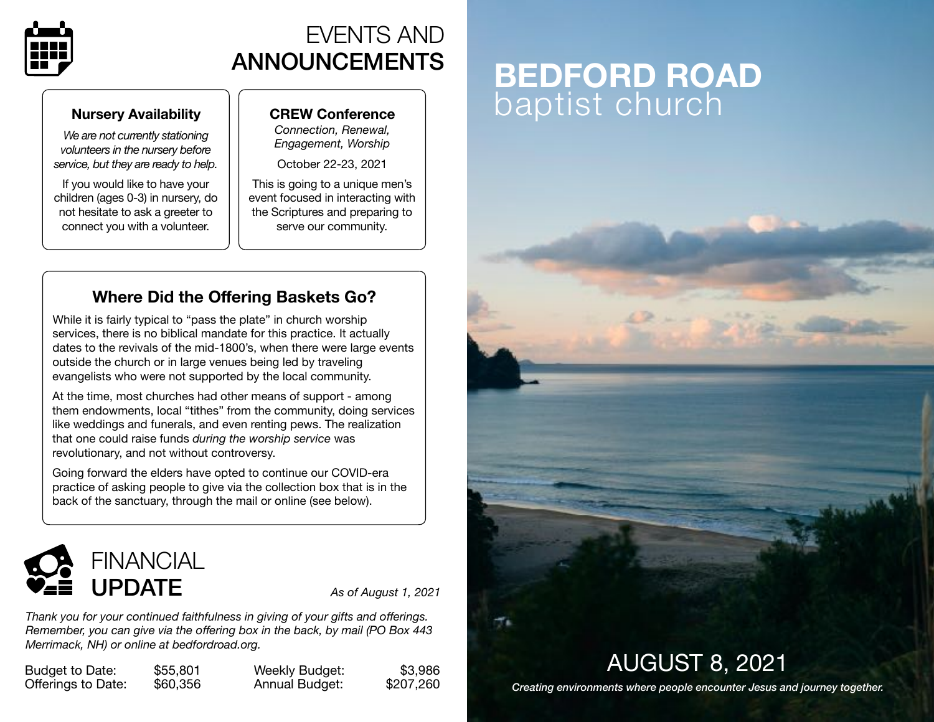

## EVENTS AND ANNOUNCEMENTS

#### **Nursery Availability**

*We are not currently stationing volunteers in the nursery before service, but they are ready to help.* 

If you would like to have your children (ages 0-3) in nursery, do not hesitate to ask a greeter to connect you with a volunteer.

#### **CREW Conference**

*Connection, Renewal, Engagement, Worship* 

October 22-23, 2021

This is going to a unique men's event focused in interacting with the Scriptures and preparing to serve our community.

### **Where Did the Offering Baskets Go?**

While it is fairly typical to "pass the plate" in church worship services, there is no biblical mandate for this practice. It actually dates to the revivals of the mid-1800's, when there were large events outside the church or in large venues being led by traveling evangelists who were not supported by the local community.

At the time, most churches had other means of support - among them endowments, local "tithes" from the community, doing services like weddings and funerals, and even renting pews. The realization that one could raise funds *during the worship service* was revolutionary, and not without controversy.

Going forward the elders have opted to continue our COVID-era practice of asking people to give via the collection box that is in the back of the sanctuary, through the mail or online (see below).



*Thank you for your continued faithfulness in giving of your gifts and offerings. Remember, you can give via the offering box in the back, by mail (PO Box 443 Merrimack, NH) or online at [bedfordroad.org.](http://bedfordroad.org)*

Budget to Date: \$55,801 Offerings to Date: \$60,356 Weekly Budget: \$3,986 Annual Budget: \$207,260

# **BEDFORD ROAD**  baptist church



AUGUST 8, 2021

*Creating environments where people encounter Jesus and journey together.*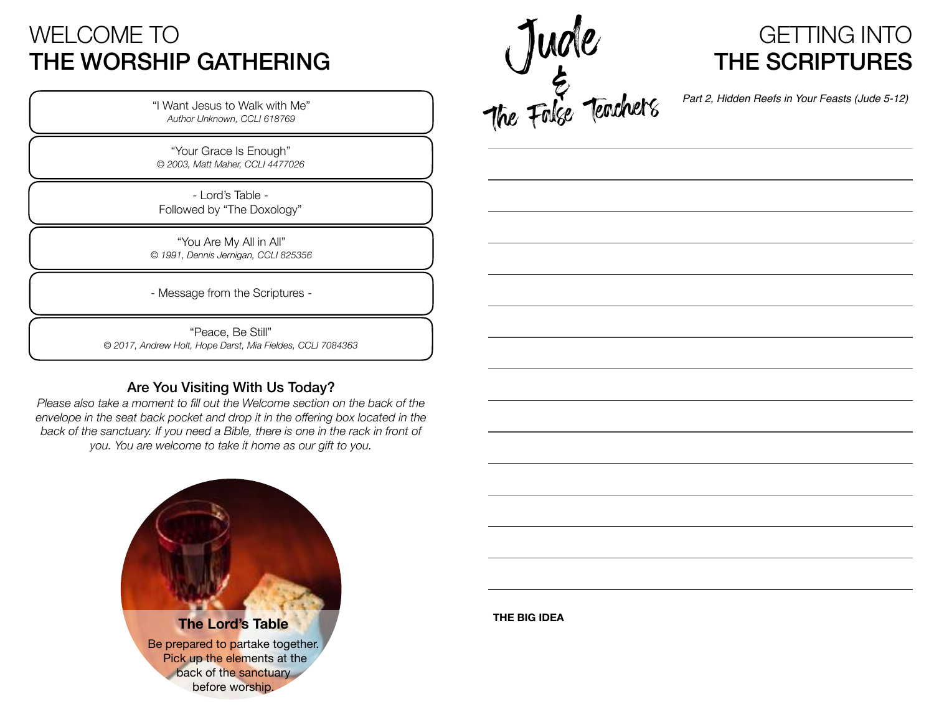## WELCOME TO THE WORSHIP GATHERING

"I Want Jesus to Walk with Me" *Author Unknown, CCLI 618769*

"Your Grace Is Enough" *© 2003, Matt Maher, CCLI 4477026*

- Lord's Table - Followed by "The Doxology"

"You Are My All in All" *© 1991, Dennis Jernigan, CCLI 825356*

- Message from the Scriptures -

"Peace, Be Still" *© 2017, Andrew Holt, Hope Darst, Mia Fieldes, CCLI 7084363*

#### Are You Visiting With Us Today?

*Please also take a moment to fill out the Welcome section on the back of the envelope in the seat back pocket and drop it in the offering box located in the back of the sanctuary. If you need a Bible, there is one in the rack in front of you. You are welcome to take it home as our gift to you.*





*Part 2, Hidden Reefs in Your Feasts (Jude 5-12)* 

**THE BIG IDEA**